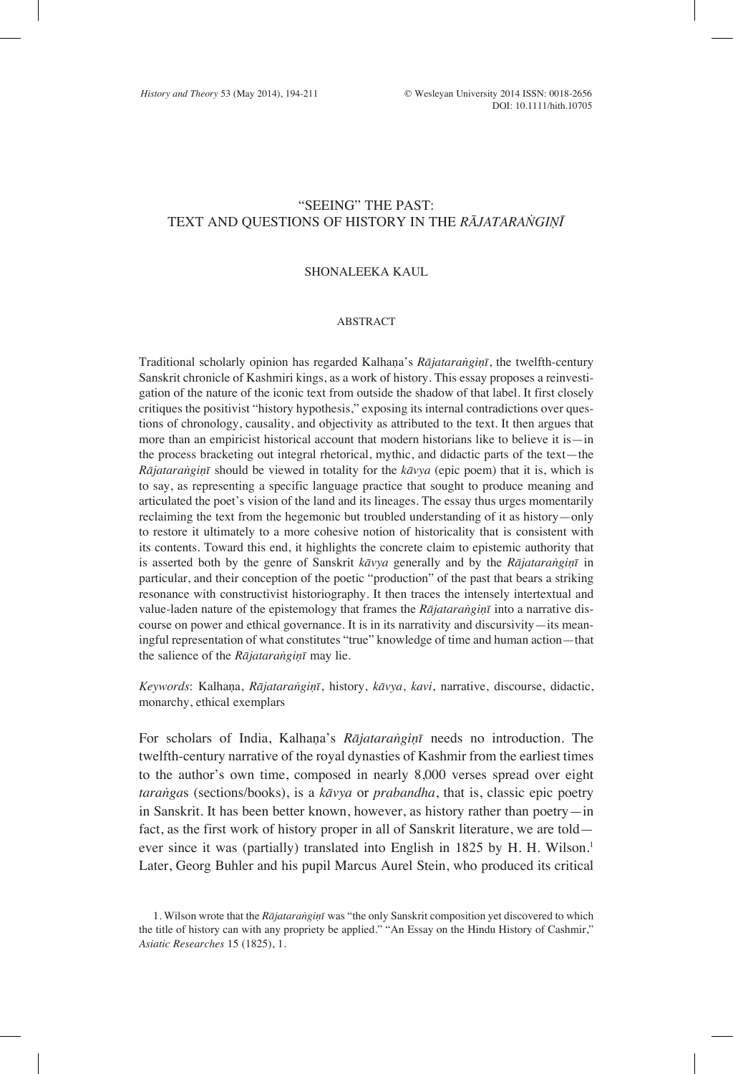# "SEEING" THE PAST: TEXT AND QUESTIONS OF HISTORY IN THE *RĀJATARANGIŅĪ*

#### SHONALEEKA KAUL.

#### ABSTRACT

Traditional scholarly opinion has regarded Kalhaṇa's *Rājataraṅgiṇī*, the twelfth-century Sanskrit chronicle of Kashmiri kings, as a work of history. This essay proposes a reinvestigation of the nature of the iconic text from outside the shadow of that label. It first closely critiques the positivist "history hypothesis," exposing its internal contradictions over questions of chronology, causality, and objectivity as attributed to the text. It then argues that more than an empiricist historical account that modern historians like to believe it is—in the process bracketing out integral rhetorical, mythic, and didactic parts of the text—the *Rājataraṅgiṇī* should be viewed in totality for the *kāvya* (epic poem) that it is, which is to say, as representing a specific language practice that sought to produce meaning and articulated the poet's vision of the land and its lineages. The essay thus urges momentarily reclaiming the text from the hegemonic but troubled understanding of it as history—only to restore it ultimately to a more cohesive notion of historicality that is consistent with its contents. Toward this end, it highlights the concrete claim to epistemic authority that is asserted both by the genre of Sanskrit *kāvya* generally and by the *Rājataraṅgiṇī* in particular, and their conception of the poetic "production" of the past that bears a striking resonance with constructivist historiography. It then traces the intensely intertextual and value-laden nature of the epistemology that frames the *Rājataraṅgiṇī* into a narrative discourse on power and ethical governance. It is in its narrativity and discursivity—its meaningful representation of what constitutes "true" knowledge of time and human action—that the salience of the *Rājataraṅgiṇī* may lie.

*Keywords*: Kalhaṇa, *Rājataraṅgiṇī*, history, *kāvya*, *kavi*, narrative, discourse, didactic, monarchy, ethical exemplars

For scholars of India, Kalhaṇa's *Rājataraṅgiṇī* needs no introduction. The twelfth-century narrative of the royal dynasties of Kashmir from the earliest times to the author's own time, composed in nearly 8,000 verses spread over eight *taraṅga*s (sections/books), is a *kāvya* or *prabandha*, that is, classic epic poetry in Sanskrit. It has been better known, however, as history rather than poetry—in fact, as the first work of history proper in all of Sanskrit literature, we are told ever since it was (partially) translated into English in 1825 by H. H. Wilson.<sup>1</sup> Later, Georg Buhler and his pupil Marcus Aurel Stein, who produced its critical

<sup>1.</sup> Wilson wrote that the *Rājataraṅgiṇī* was "the only Sanskrit composition yet discovered to which the title of history can with any propriety be applied." "An Essay on the Hindu History of Cashmir," *Asiatic Researches* 15 (1825), 1.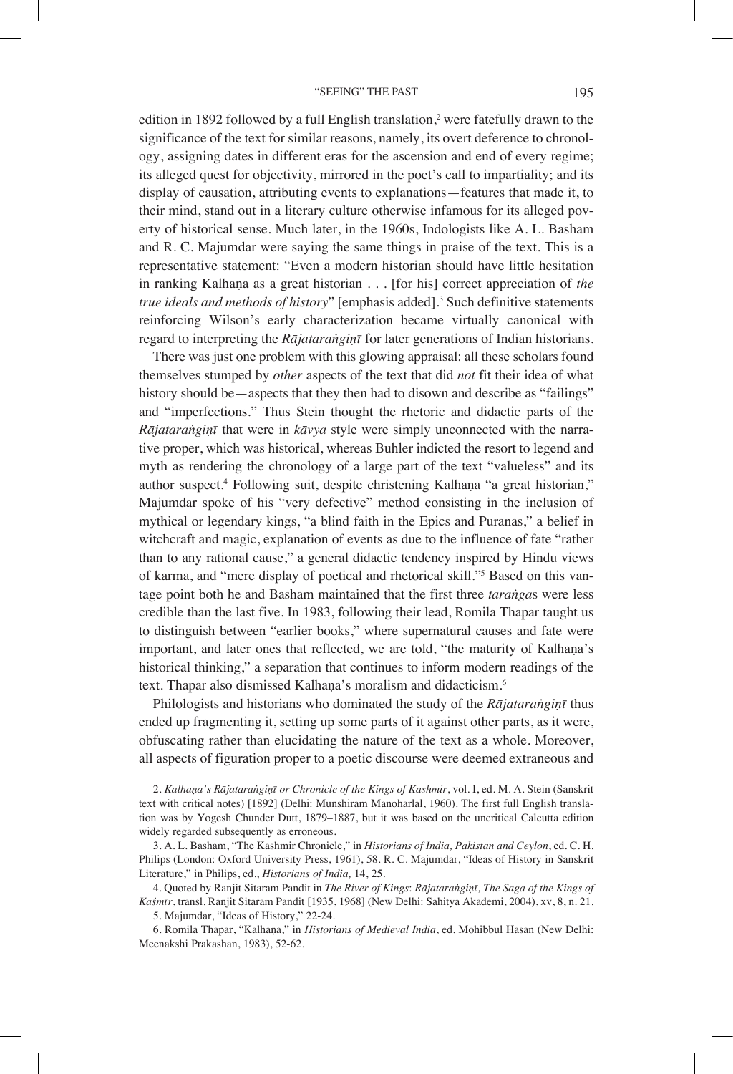edition in 1892 followed by a full English translation,<sup>2</sup> were fatefully drawn to the significance of the text for similar reasons, namely, its overt deference to chronology, assigning dates in different eras for the ascension and end of every regime; its alleged quest for objectivity, mirrored in the poet's call to impartiality; and its display of causation, attributing events to explanations—features that made it, to their mind, stand out in a literary culture otherwise infamous for its alleged poverty of historical sense. Much later, in the 1960s, Indologists like A. L. Basham and R. C. Majumdar were saying the same things in praise of the text. This is a representative statement: "Even a modern historian should have little hesitation in ranking Kalhaṇa as a great historian . . . [for his] correct appreciation of *the*  true ideals and methods of history" [emphasis added].<sup>3</sup> Such definitive statements reinforcing Wilson's early characterization became virtually canonical with regard to interpreting the *Rājataraṅgiṇī* for later generations of Indian historians.

There was just one problem with this glowing appraisal: all these scholars found themselves stumped by *other* aspects of the text that did *not* fit their idea of what history should be—aspects that they then had to disown and describe as "failings" and "imperfections." Thus Stein thought the rhetoric and didactic parts of the *Rājataraṅgiṇī* that were in *kāvya* style were simply unconnected with the narrative proper, which was historical, whereas Buhler indicted the resort to legend and myth as rendering the chronology of a large part of the text "valueless" and its author suspect.4 Following suit, despite christening Kalhaṇa "a great historian," Majumdar spoke of his "very defective" method consisting in the inclusion of mythical or legendary kings, "a blind faith in the Epics and Puranas," a belief in witchcraft and magic, explanation of events as due to the influence of fate "rather than to any rational cause," a general didactic tendency inspired by Hindu views of karma, and "mere display of poetical and rhetorical skill."5 Based on this vantage point both he and Basham maintained that the first three *taraṅga*s were less credible than the last five. In 1983, following their lead, Romila Thapar taught us to distinguish between "earlier books," where supernatural causes and fate were important, and later ones that reflected, we are told, "the maturity of Kalhaṇa's historical thinking," a separation that continues to inform modern readings of the text. Thapar also dismissed Kalhana's moralism and didacticism.<sup>6</sup>

Philologists and historians who dominated the study of the *Rājataraṅgiṇī* thus ended up fragmenting it, setting up some parts of it against other parts, as it were, obfuscating rather than elucidating the nature of the text as a whole. Moreover, all aspects of figuration proper to a poetic discourse were deemed extraneous and

2. *Kalhaṇa's Rājataraṅgiṇī or Chronicle of the Kings of Kashmir*, vol. I, ed. M. A. Stein (Sanskrit text with critical notes) [1892] (Delhi: Munshiram Manoharlal, 1960). The first full English translation was by Yogesh Chunder Dutt, 1879–1887, but it was based on the uncritical Calcutta edition widely regarded subsequently as erroneous.

3. A. L. Basham, "The Kashmir Chronicle," in *Historians of India, Pakistan and Ceylon*, ed. C. H. Philips (London: Oxford University Press, 1961), 58. R. C. Majumdar, "Ideas of History in Sanskrit Literature," in Philips, ed., *Historians of India,* 14, 25.

4. Quoted by Ranjit Sitaram Pandit in *The River of Kings*: *Rājataraṅgiṇī, The Saga of the Kings of Kaśmīr*, transl. Ranjit Sitaram Pandit [1935, 1968] (New Delhi: Sahitya Akademi, 2004), xv, 8, n. 21.

5. Majumdar, "Ideas of History," 22-24.

6. Romila Thapar, "Kalhaṇa," in *Historians of Medieval India*, ed. Mohibbul Hasan (New Delhi: Meenakshi Prakashan, 1983), 52-62.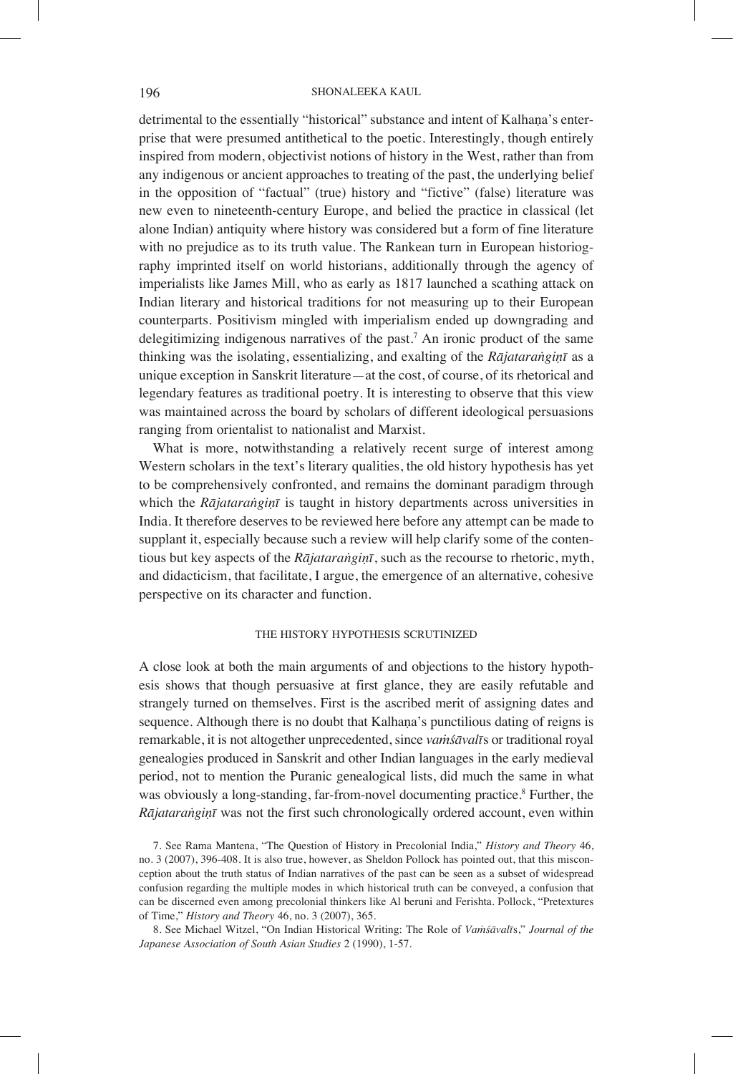# 196 SHONALEEKA KAUL

detrimental to the essentially "historical" substance and intent of Kalhana's enterprise that were presumed antithetical to the poetic. Interestingly, though entirely inspired from modern, objectivist notions of history in the West, rather than from any indigenous or ancient approaches to treating of the past, the underlying belief in the opposition of "factual" (true) history and "fictive" (false) literature was new even to nineteenth-century Europe, and belied the practice in classical (let alone Indian) antiquity where history was considered but a form of fine literature with no prejudice as to its truth value. The Rankean turn in European historiography imprinted itself on world historians, additionally through the agency of imperialists like James Mill, who as early as 1817 launched a scathing attack on Indian literary and historical traditions for not measuring up to their European counterparts. Positivism mingled with imperialism ended up downgrading and delegitimizing indigenous narratives of the past.<sup>7</sup> An ironic product of the same thinking was the isolating, essentializing, and exalting of the *Rājataraṅgiṇī* as a unique exception in Sanskrit literature—at the cost, of course, of its rhetorical and legendary features as traditional poetry. It is interesting to observe that this view was maintained across the board by scholars of different ideological persuasions ranging from orientalist to nationalist and Marxist.

What is more, notwithstanding a relatively recent surge of interest among Western scholars in the text's literary qualities, the old history hypothesis has yet to be comprehensively confronted, and remains the dominant paradigm through which the *Rājataraṅgiṇī* is taught in history departments across universities in India. It therefore deserves to be reviewed here before any attempt can be made to supplant it, especially because such a review will help clarify some of the contentious but key aspects of the *Rājataraṅgiṇī*, such as the recourse to rhetoric, myth, and didacticism, that facilitate, I argue, the emergence of an alternative, cohesive perspective on its character and function.

### THE HISTORY HYPOTHESIS SCRUTINIZED

A close look at both the main arguments of and objections to the history hypothesis shows that though persuasive at first glance, they are easily refutable and strangely turned on themselves. First is the ascribed merit of assigning dates and sequence. Although there is no doubt that Kalhaṇa's punctilious dating of reigns is remarkable, it is not altogether unprecedented, since *vaṁśāvalī*s or traditional royal genealogies produced in Sanskrit and other Indian languages in the early medieval period, not to mention the Puranic genealogical lists, did much the same in what was obviously a long-standing, far-from-novel documenting practice.<sup>8</sup> Further, the *Rājataraṅgiṇī* was not the first such chronologically ordered account, even within

7. See Rama Mantena, "The Question of History in Precolonial India," *History and Theory* 46, no. 3 (2007), 396-408. It is also true, however, as Sheldon Pollock has pointed out, that this misconception about the truth status of Indian narratives of the past can be seen as a subset of widespread confusion regarding the multiple modes in which historical truth can be conveyed, a confusion that can be discerned even among precolonial thinkers like Al beruni and Ferishta. Pollock, "Pretextures of Time," *History and Theory* 46, no. 3 (2007), 365.

8. See Michael Witzel, "On Indian Historical Writing: The Role of *Vaṁśāvalī*s," *Journal of the Japanese Association of South Asian Studies* 2 (1990), 1-57.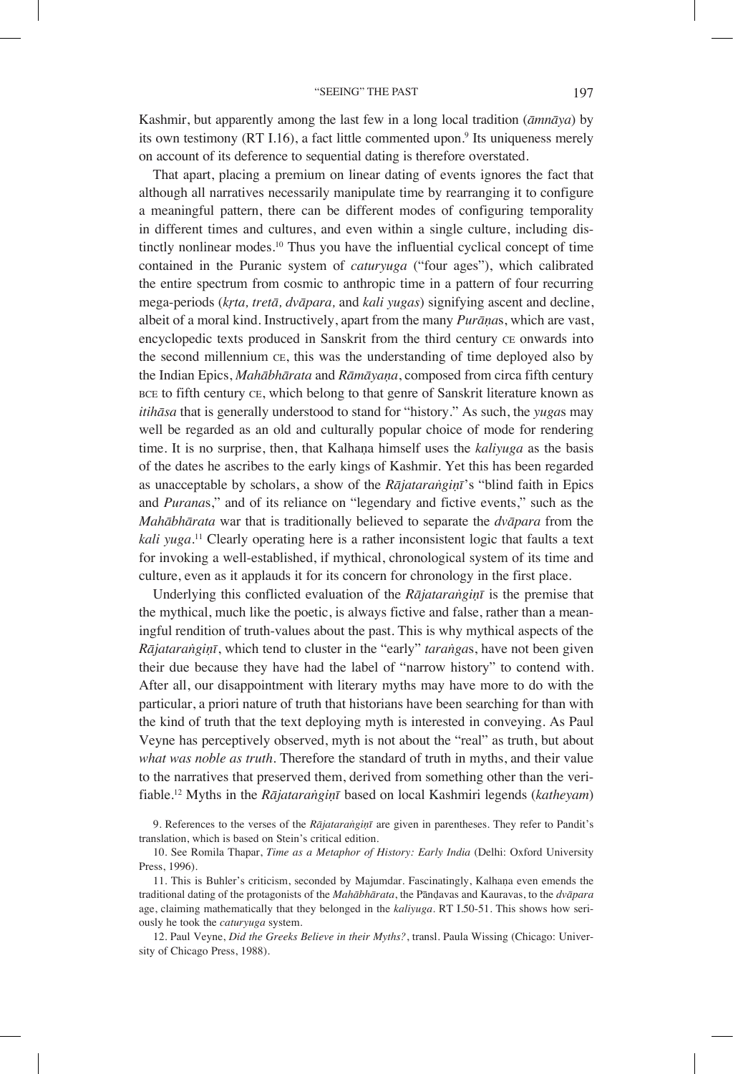Kashmir, but apparently among the last few in a long local tradition (*āmnāya*) by its own testimony (RT I.16), a fact little commented upon.<sup>9</sup> Its uniqueness merely on account of its deference to sequential dating is therefore overstated.

That apart, placing a premium on linear dating of events ignores the fact that although all narratives necessarily manipulate time by rearranging it to configure a meaningful pattern, there can be different modes of configuring temporality in different times and cultures, and even within a single culture, including distinctly nonlinear modes.<sup>10</sup> Thus you have the influential cyclical concept of time contained in the Puranic system of *caturyuga* ("four ages"), which calibrated the entire spectrum from cosmic to anthropic time in a pattern of four recurring mega-periods (*kṛta, tretā, dvāpara,* and *kali yugas*) signifying ascent and decline, albeit of a moral kind. Instructively, apart from the many *Purāṇa*s, which are vast, encyclopedic texts produced in Sanskrit from the third century ce onwards into the second millennium ce, this was the understanding of time deployed also by the Indian Epics, *Mahābhārata* and *Rāmāyaṇa*, composed from circa fifth century bce to fifth century ce, which belong to that genre of Sanskrit literature known as *itihāsa* that is generally understood to stand for "history." As such, the *yuga*s may well be regarded as an old and culturally popular choice of mode for rendering time. It is no surprise, then, that Kalhana himself uses the *kaliyuga* as the basis of the dates he ascribes to the early kings of Kashmir. Yet this has been regarded as unacceptable by scholars, a show of the *Rājataraṅgiṇī*'s "blind faith in Epics and *Purana*s," and of its reliance on "legendary and fictive events," such as the *Mahābhārata* war that is traditionally believed to separate the *dvāpara* from the *kali yuga*. 11 Clearly operating here is a rather inconsistent logic that faults a text for invoking a well-established, if mythical, chronological system of its time and culture, even as it applauds it for its concern for chronology in the first place.

Underlying this conflicted evaluation of the *Rājataraṅgiṇī* is the premise that the mythical, much like the poetic, is always fictive and false, rather than a meaningful rendition of truth-values about the past. This is why mythical aspects of the *Rājataraṅgiṇī*, which tend to cluster in the "early" *taraṅga*s, have not been given their due because they have had the label of "narrow history" to contend with. After all, our disappointment with literary myths may have more to do with the particular, a priori nature of truth that historians have been searching for than with the kind of truth that the text deploying myth is interested in conveying. As Paul Veyne has perceptively observed, myth is not about the "real" as truth, but about *what was noble as truth*. Therefore the standard of truth in myths, and their value to the narratives that preserved them, derived from something other than the verifiable.12 Myths in the *Rājataraṅgiṇī* based on local Kashmiri legends (*katheyam*)

12. Paul Veyne, *Did the Greeks Believe in their Myths?*, transl. Paula Wissing (Chicago: University of Chicago Press, 1988).

<sup>9.</sup> References to the verses of the *Rājataraṅgiṇī* are given in parentheses. They refer to Pandit's translation, which is based on Stein's critical edition.

<sup>10.</sup> See Romila Thapar, *Time as a Metaphor of History: Early India* (Delhi: Oxford University Press, 1996).

<sup>11.</sup> This is Buhler's criticism, seconded by Majumdar. Fascinatingly, Kalhaṇa even emends the traditional dating of the protagonists of the *Mahābhārata*, the Pānḍavas and Kauravas, to the *dvāpara*  age, claiming mathematically that they belonged in the *kaliyuga*. RT I.50-51. This shows how seriously he took the *caturyuga* system.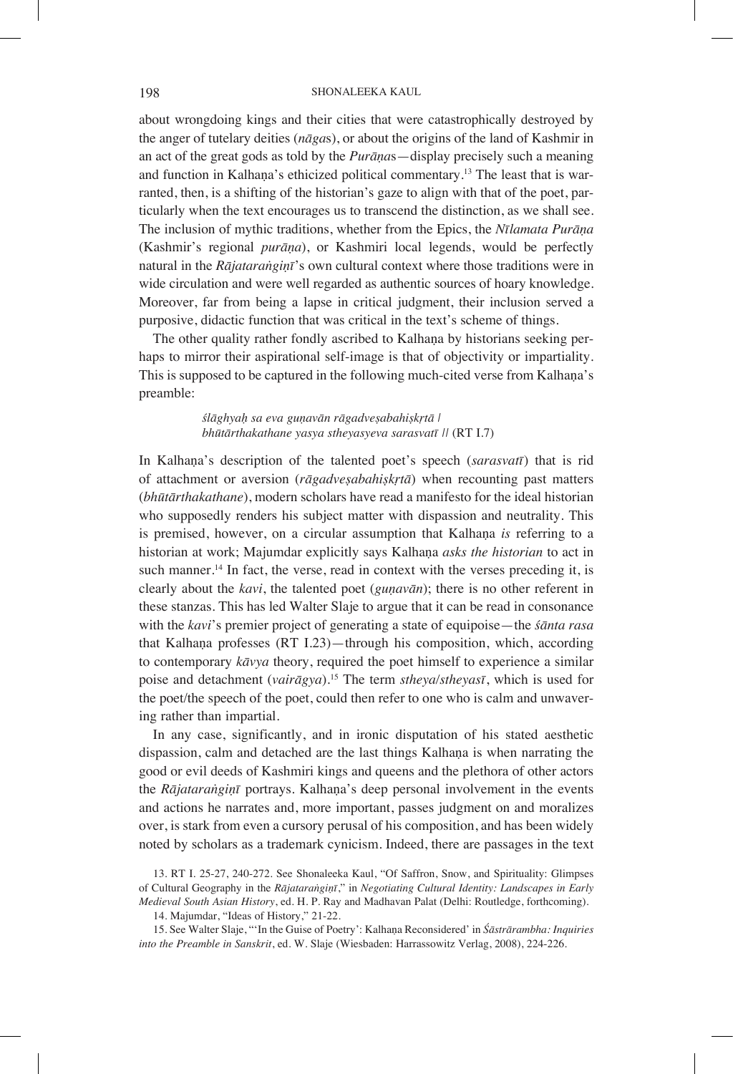about wrongdoing kings and their cities that were catastrophically destroyed by the anger of tutelary deities (*nāga*s), or about the origins of the land of Kashmir in an act of the great gods as told by the *Purāṇa*s—display precisely such a meaning and function in Kalhana's ethicized political commentary.<sup>13</sup> The least that is warranted, then, is a shifting of the historian's gaze to align with that of the poet, particularly when the text encourages us to transcend the distinction, as we shall see. The inclusion of mythic traditions, whether from the Epics, the *Nīlamata Purāṇa*  (Kashmir's regional *purāṇa*), or Kashmiri local legends, would be perfectly natural in the *Rājataraṅgiṇī*'s own cultural context where those traditions were in wide circulation and were well regarded as authentic sources of hoary knowledge. Moreover, far from being a lapse in critical judgment, their inclusion served a purposive, didactic function that was critical in the text's scheme of things.

The other quality rather fondly ascribed to Kalhaṇa by historians seeking perhaps to mirror their aspirational self-image is that of objectivity or impartiality. This is supposed to be captured in the following much-cited verse from Kalhaṇa's preamble:

> *ślāghyaḥ sa eva guṇavān rāgadveṣabahiṣkṛtā | bhūtārthakathane yasya stheyasyeva sarasvatī ||* (RT I.7)

In Kalhaṇa's description of the talented poet's speech (*sarasvatī*) that is rid of attachment or aversion (*rāgadveṣabahiṣkṛtā*) when recounting past matters (*bhūtārthakathane*), modern scholars have read a manifesto for the ideal historian who supposedly renders his subject matter with dispassion and neutrality. This is premised, however, on a circular assumption that Kalhaṇa *is* referring to a historian at work; Majumdar explicitly says Kalhaṇa *asks the historian* to act in such manner.<sup>14</sup> In fact, the verse, read in context with the verses preceding it, is clearly about the *kavi*, the talented poet (*guṇavān*); there is no other referent in these stanzas. This has led Walter Slaje to argue that it can be read in consonance with the *kavi*'s premier project of generating a state of equipoise—the *śānta rasa*  that Kalhaṇa professes (RT I.23)—through his composition, which, according to contemporary *kāvya* theory, required the poet himself to experience a similar poise and detachment (*vairāgya*).15 The term *stheya/stheyasī*, which is used for the poet/the speech of the poet, could then refer to one who is calm and unwavering rather than impartial.

In any case, significantly, and in ironic disputation of his stated aesthetic dispassion, calm and detached are the last things Kalhaṇa is when narrating the good or evil deeds of Kashmiri kings and queens and the plethora of other actors the *Rājataraṅgiṇī* portrays. Kalhaṇa's deep personal involvement in the events and actions he narrates and, more important, passes judgment on and moralizes over, is stark from even a cursory perusal of his composition, and has been widely noted by scholars as a trademark cynicism. Indeed, there are passages in the text

14. Majumdar, "Ideas of History," 21-22.

15. See Walter Slaje, "'In the Guise of Poetry': Kalhaṇa Reconsidered' in *Śāstrārambha: Inquiries into the Preamble in Sanskrit*, ed. W. Slaje (Wiesbaden: Harrassowitz Verlag, 2008), 224-226.

<sup>13.</sup> RT I. 25-27, 240-272. See Shonaleeka Kaul, "Of Saffron, Snow, and Spirituality: Glimpses of Cultural Geography in the *Rājataraṅgiṇī*," in *Negotiating Cultural Identity: Landscapes in Early Medieval South Asian History*, ed. H. P. Ray and Madhavan Palat (Delhi: Routledge, forthcoming).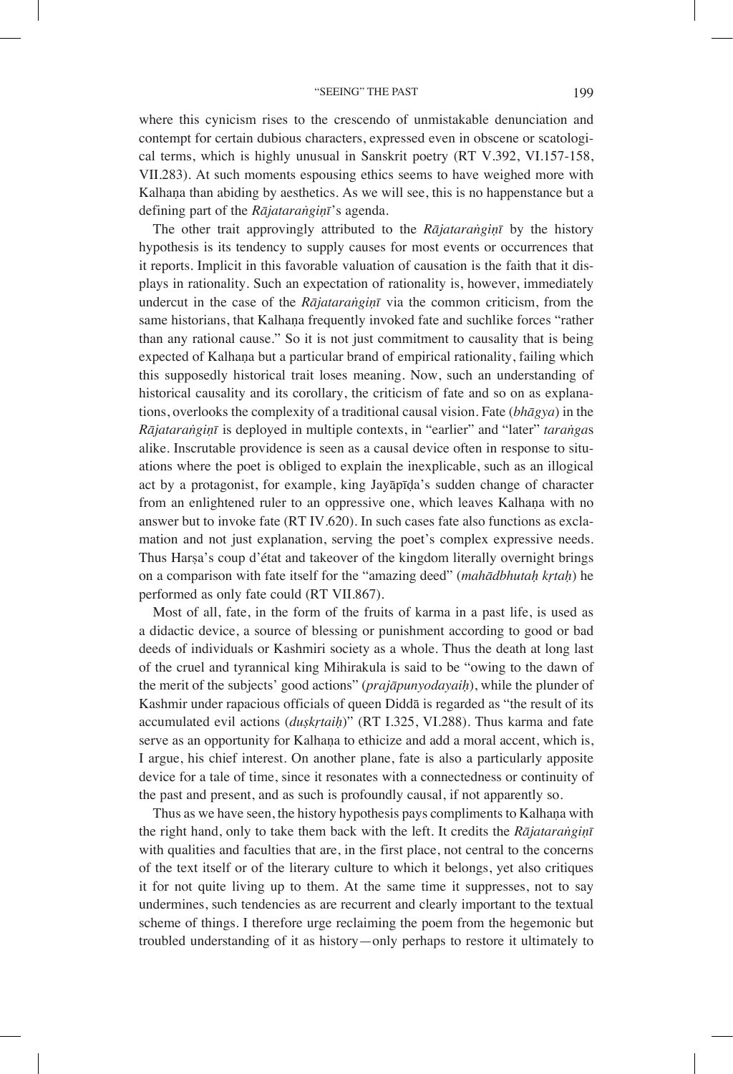where this cynicism rises to the crescendo of unmistakable denunciation and contempt for certain dubious characters, expressed even in obscene or scatological terms, which is highly unusual in Sanskrit poetry (RT V.392, VI.157-158, VII.283). At such moments espousing ethics seems to have weighed more with Kalhaṇa than abiding by aesthetics. As we will see, this is no happenstance but a defining part of the *Rājataraṅgiṇī*'s agenda.

The other trait approvingly attributed to the *Rājataraṅgiṇī* by the history hypothesis is its tendency to supply causes for most events or occurrences that it reports. Implicit in this favorable valuation of causation is the faith that it displays in rationality. Such an expectation of rationality is, however, immediately undercut in the case of the *Rājataraṅgiṇī* via the common criticism, from the same historians, that Kalhaṇa frequently invoked fate and suchlike forces "rather than any rational cause." So it is not just commitment to causality that is being expected of Kalhaṇa but a particular brand of empirical rationality, failing which this supposedly historical trait loses meaning. Now, such an understanding of historical causality and its corollary, the criticism of fate and so on as explanations, overlooks the complexity of a traditional causal vision. Fate (*bhāgya*) in the *Rājataraṅgiṇī* is deployed in multiple contexts, in "earlier" and "later" *taraṅga*s alike. Inscrutable providence is seen as a causal device often in response to situations where the poet is obliged to explain the inexplicable, such as an illogical act by a protagonist, for example, king Jayāpīḍa's sudden change of character from an enlightened ruler to an oppressive one, which leaves Kalhana with no answer but to invoke fate (RT IV.620). In such cases fate also functions as exclamation and not just explanation, serving the poet's complex expressive needs. Thus Harṣa's coup d'état and takeover of the kingdom literally overnight brings on a comparison with fate itself for the "amazing deed" (*mahādbhutaḥ kṛtaḥ*) he performed as only fate could (RT VII.867).

Most of all, fate, in the form of the fruits of karma in a past life, is used as a didactic device, a source of blessing or punishment according to good or bad deeds of individuals or Kashmiri society as a whole. Thus the death at long last of the cruel and tyrannical king Mihirakula is said to be "owing to the dawn of the merit of the subjects' good actions" (*prajāpunyodayaiḥ*), while the plunder of Kashmir under rapacious officials of queen Diddā is regarded as "the result of its accumulated evil actions (*duṣkṛtaiḥ*)" (RT I.325, VI.288). Thus karma and fate serve as an opportunity for Kalhaṇa to ethicize and add a moral accent, which is, I argue, his chief interest. On another plane, fate is also a particularly apposite device for a tale of time, since it resonates with a connectedness or continuity of the past and present, and as such is profoundly causal, if not apparently so.

Thus as we have seen, the history hypothesis pays compliments to Kalhaṇa with the right hand, only to take them back with the left. It credits the *Rājataraṅgiṇī* with qualities and faculties that are, in the first place, not central to the concerns of the text itself or of the literary culture to which it belongs, yet also critiques it for not quite living up to them. At the same time it suppresses, not to say undermines, such tendencies as are recurrent and clearly important to the textual scheme of things. I therefore urge reclaiming the poem from the hegemonic but troubled understanding of it as history—only perhaps to restore it ultimately to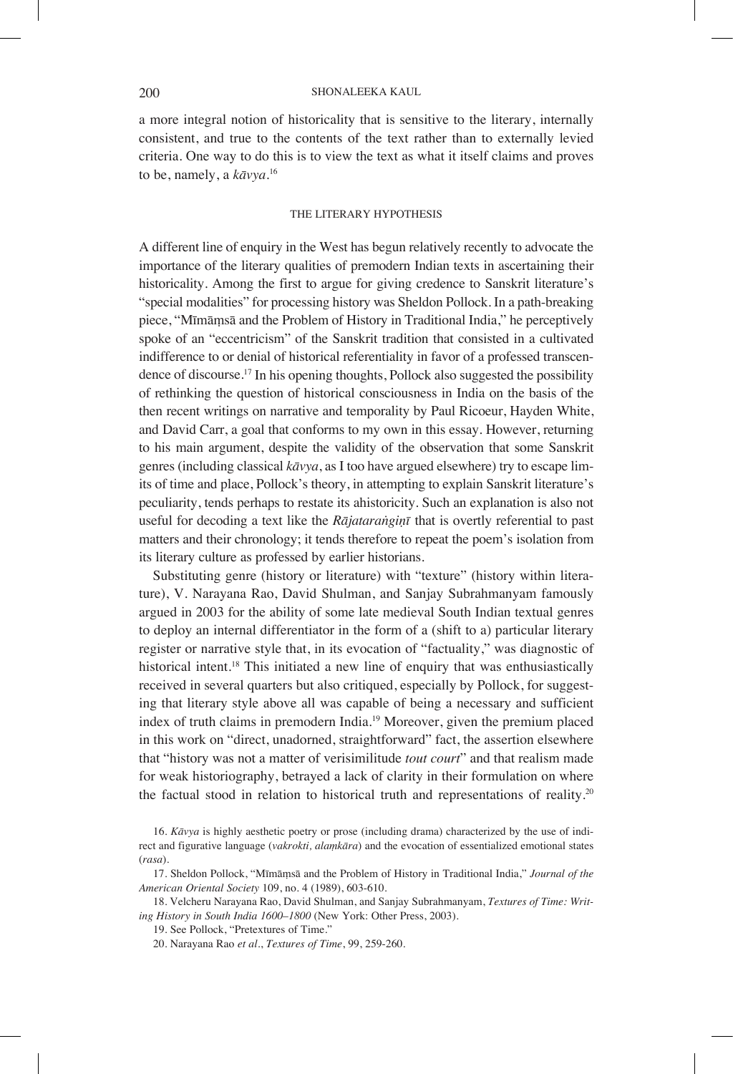a more integral notion of historicality that is sensitive to the literary, internally consistent, and true to the contents of the text rather than to externally levied criteria. One way to do this is to view the text as what it itself claims and proves to be, namely, a *kāvya.*<sup>16</sup>

### THE LITERARY HYPOTHESIS

A different line of enquiry in the West has begun relatively recently to advocate the importance of the literary qualities of premodern Indian texts in ascertaining their historicality. Among the first to argue for giving credence to Sanskrit literature's "special modalities" for processing history was Sheldon Pollock. In a path-breaking piece, "Mīmāṃsā and the Problem of History in Traditional India," he perceptively spoke of an "eccentricism" of the Sanskrit tradition that consisted in a cultivated indifference to or denial of historical referentiality in favor of a professed transcendence of discourse.17 In his opening thoughts, Pollock also suggested the possibility of rethinking the question of historical consciousness in India on the basis of the then recent writings on narrative and temporality by Paul Ricoeur, Hayden White, and David Carr, a goal that conforms to my own in this essay. However, returning to his main argument, despite the validity of the observation that some Sanskrit genres (including classical *kāvya*, as I too have argued elsewhere) try to escape limits of time and place, Pollock's theory, in attempting to explain Sanskrit literature's peculiarity, tends perhaps to restate its ahistoricity. Such an explanation is also not useful for decoding a text like the *Rājataraṅgiṇī* that is overtly referential to past matters and their chronology; it tends therefore to repeat the poem's isolation from its literary culture as professed by earlier historians.

Substituting genre (history or literature) with "texture" (history within literature), V. Narayana Rao, David Shulman, and Sanjay Subrahmanyam famously argued in 2003 for the ability of some late medieval South Indian textual genres to deploy an internal differentiator in the form of a (shift to a) particular literary register or narrative style that, in its evocation of "factuality," was diagnostic of historical intent.18 This initiated a new line of enquiry that was enthusiastically received in several quarters but also critiqued, especially by Pollock, for suggesting that literary style above all was capable of being a necessary and sufficient index of truth claims in premodern India.19 Moreover, given the premium placed in this work on "direct, unadorned, straightforward" fact, the assertion elsewhere that "history was not a matter of verisimilitude *tout court*" and that realism made for weak historiography, betrayed a lack of clarity in their formulation on where the factual stood in relation to historical truth and representations of reality.20

<sup>16.</sup> *Kāvya* is highly aesthetic poetry or prose (including drama) characterized by the use of indirect and figurative language (*vakrokti, alaṃkāra*) and the evocation of essentialized emotional states (*rasa*).

<sup>17.</sup> Sheldon Pollock, "Mīmāṃsā and the Problem of History in Traditional India," *Journal of the American Oriental Society* 109, no. 4 (1989), 603-610.

<sup>18.</sup> Velcheru Narayana Rao, David Shulman, and Sanjay Subrahmanyam, *Textures of Time: Writing History in South India 1600–1800* (New York: Other Press, 2003).

<sup>19.</sup> See Pollock, "Pretextures of Time."

<sup>20.</sup> Narayana Rao *et al*., *Textures of Time*, 99, 259-260.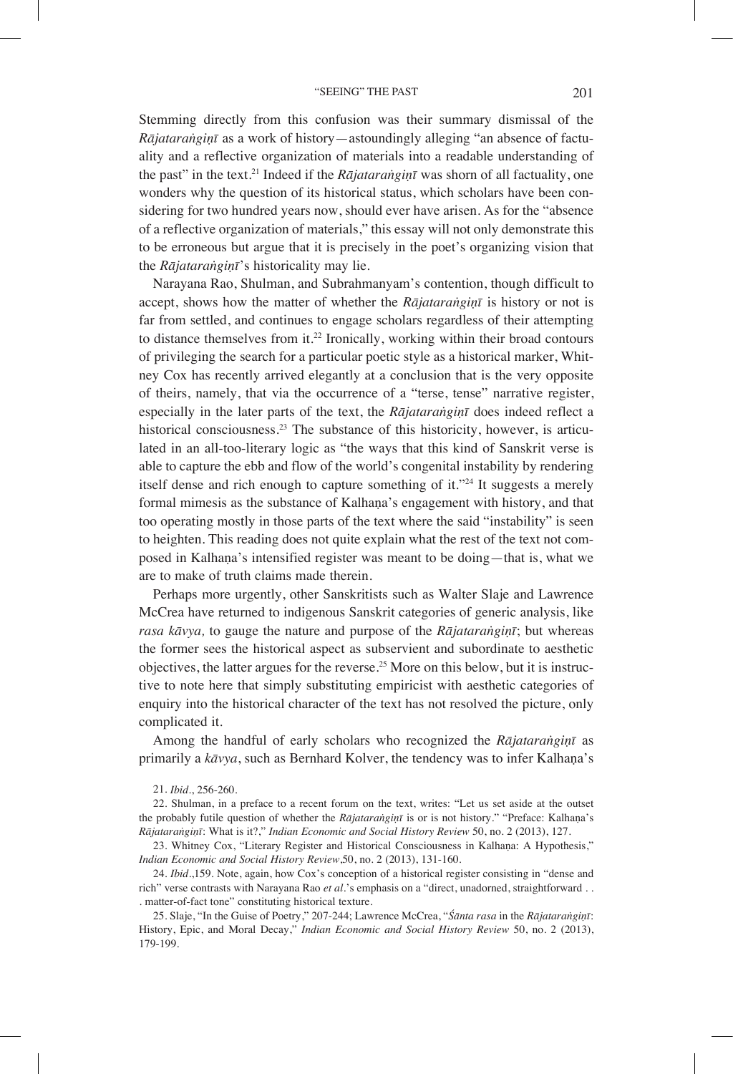Stemming directly from this confusion was their summary dismissal of the *Rājataraṅgiṇī* as a work of history—astoundingly alleging "an absence of factuality and a reflective organization of materials into a readable understanding of the past" in the text.<sup>21</sup> Indeed if the *Rājataranginī* was shorn of all factuality, one wonders why the question of its historical status, which scholars have been considering for two hundred years now, should ever have arisen. As for the "absence of a reflective organization of materials," this essay will not only demonstrate this to be erroneous but argue that it is precisely in the poet's organizing vision that the *Rājataraṅgiṇī*'s historicality may lie.

Narayana Rao, Shulman, and Subrahmanyam's contention, though difficult to accept, shows how the matter of whether the *Rājataraṅgiṇī* is history or not is far from settled, and continues to engage scholars regardless of their attempting to distance themselves from it.<sup>22</sup> Ironically, working within their broad contours of privileging the search for a particular poetic style as a historical marker, Whitney Cox has recently arrived elegantly at a conclusion that is the very opposite of theirs, namely, that via the occurrence of a "terse, tense" narrative register, especially in the later parts of the text, the *Rājataraṅgiṇī* does indeed reflect a historical consciousness.<sup>23</sup> The substance of this historicity, however, is articulated in an all-too-literary logic as "the ways that this kind of Sanskrit verse is able to capture the ebb and flow of the world's congenital instability by rendering itself dense and rich enough to capture something of it."24 It suggests a merely formal mimesis as the substance of Kalhana's engagement with history, and that too operating mostly in those parts of the text where the said "instability" is seen to heighten. This reading does not quite explain what the rest of the text not composed in Kalhaṇa's intensified register was meant to be doing—that is, what we are to make of truth claims made therein.

Perhaps more urgently, other Sanskritists such as Walter Slaje and Lawrence McCrea have returned to indigenous Sanskrit categories of generic analysis, like *rasa kāvya,* to gauge the nature and purpose of the *Rājataraṅgiṇī*; but whereas the former sees the historical aspect as subservient and subordinate to aesthetic objectives, the latter argues for the reverse.25 More on this below, but it is instructive to note here that simply substituting empiricist with aesthetic categories of enquiry into the historical character of the text has not resolved the picture, only complicated it.

Among the handful of early scholars who recognized the *Rājataraṅgiṇī* as primarily a *kāvya*, such as Bernhard Kolver, the tendency was to infer Kalhaṇa's

21. *Ibid*., 256-260.

22. Shulman, in a preface to a recent forum on the text, writes: "Let us set aside at the outset the probably futile question of whether the *Rājataraṅgiṇī* is or is not history." "Preface: Kalhaṇa's *Rājataraṅgiṇī*: What is it?," *Indian Economic and Social History Review* 50, no. 2 (2013), 127.

23. Whitney Cox, "Literary Register and Historical Consciousness in Kalhaṇa: A Hypothesis," *Indian Economic and Social History Review*,50, no. 2 (2013), 131-160.

24. *Ibid*.,159. Note, again, how Cox's conception of a historical register consisting in "dense and rich" verse contrasts with Narayana Rao *et al*.'s emphasis on a "direct, unadorned, straightforward . . . matter-of-fact tone" constituting historical texture.

25. Slaje, "In the Guise of Poetry," 207-244; Lawrence McCrea, "*Śānta rasa* in the *Rājataraṅgiṇī*: History, Epic, and Moral Decay," *Indian Economic and Social History Review* 50, no. 2 (2013), 179-199.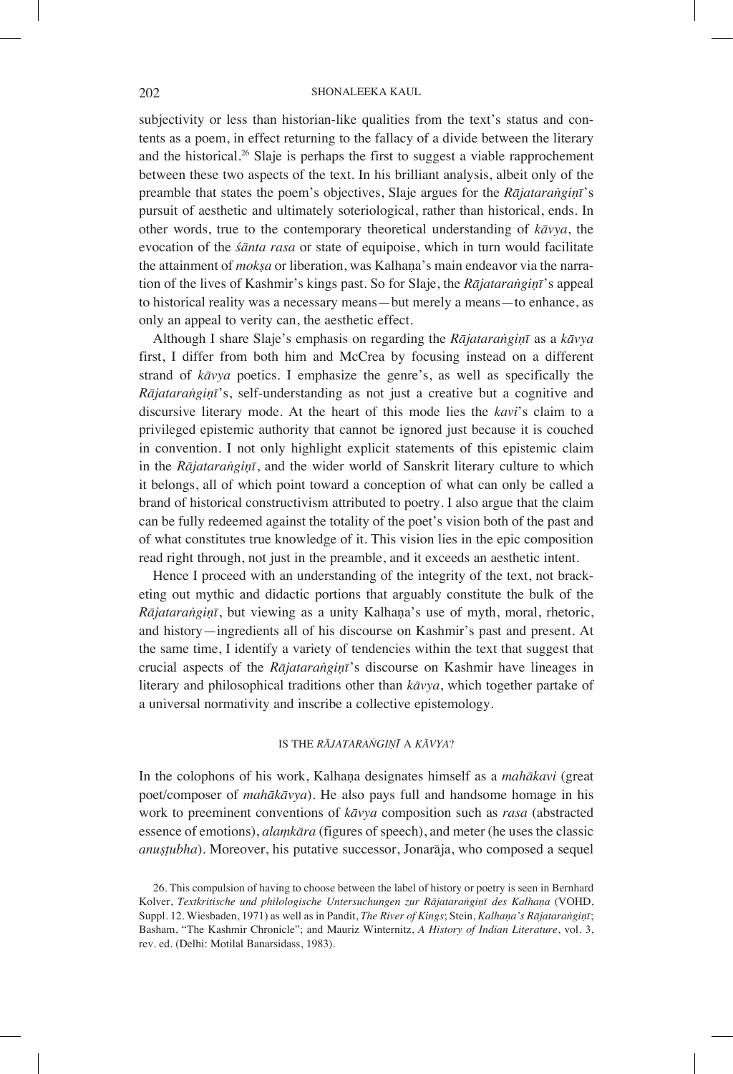subjectivity or less than historian-like qualities from the text's status and contents as a poem, in effect returning to the fallacy of a divide between the literary and the historical.<sup>26</sup> Slaje is perhaps the first to suggest a viable rapprochement between these two aspects of the text. In his brilliant analysis, albeit only of the preamble that states the poem's objectives, Slaje argues for the *Rājataraṅgiṇī*'s pursuit of aesthetic and ultimately soteriological, rather than historical, ends. In other words, true to the contemporary theoretical understanding of *kāvya*, the evocation of the *śānta rasa* or state of equipoise, which in turn would facilitate the attainment of *mokṣa* or liberation, was Kalhaṇa's main endeavor via the narration of the lives of Kashmir's kings past. So for Slaje, the *Rājataraṅgiṇī*'s appeal to historical reality was a necessary means—but merely a means—to enhance, as only an appeal to verity can, the aesthetic effect.

Although I share Slaje's emphasis on regarding the *Rājataraṅgiṇī* as a *kāvya*  first, I differ from both him and McCrea by focusing instead on a different strand of *kāvya* poetics. I emphasize the genre's, as well as specifically the *Rājataraṅgiṇī*'s, self-understanding as not just a creative but a cognitive and discursive literary mode. At the heart of this mode lies the *kavi*'s claim to a privileged epistemic authority that cannot be ignored just because it is couched in convention. I not only highlight explicit statements of this epistemic claim in the *Rājataraṅgiṇī*, and the wider world of Sanskrit literary culture to which it belongs, all of which point toward a conception of what can only be called a brand of historical constructivism attributed to poetry. I also argue that the claim can be fully redeemed against the totality of the poet's vision both of the past and of what constitutes true knowledge of it. This vision lies in the epic composition read right through, not just in the preamble, and it exceeds an aesthetic intent.

Hence I proceed with an understanding of the integrity of the text, not bracketing out mythic and didactic portions that arguably constitute the bulk of the *Rājataraṅgiṇī*, but viewing as a unity Kalhaṇa's use of myth, moral, rhetoric, and history—ingredients all of his discourse on Kashmir's past and present. At the same time, I identify a variety of tendencies within the text that suggest that crucial aspects of the *Rājataraṅgiṇī*'s discourse on Kashmir have lineages in literary and philosophical traditions other than *kāvya*, which together partake of a universal normativity and inscribe a collective epistemology.

#### IS THE *RĀJATARAṄGIṆĪ* A *KĀVYA*?

In the colophons of his work, Kalhaṇa designates himself as a *mahākavi* (great poet/composer of *mahākāvya*). He also pays full and handsome homage in his work to preeminent conventions of *kāvya* composition such as *rasa* (abstracted essence of emotions), *alaṃkāra* (figures of speech), and meter (he uses the classic *anuṣṭubha*). Moreover, his putative successor, Jonarāja, who composed a sequel

26. This compulsion of having to choose between the label of history or poetry is seen in Bernhard Kolver, *Textkritische und philologische Untersuchungen zur Rājataraṅgiṇī des Kalhaṇa* (VOHD, Suppl. 12. Wiesbaden, 1971) as well as in Pandit, *The River of Kings*; Stein, *Kalhaṇa's Rājataraṅgiṇī*; Basham, "The Kashmir Chronicle"; and Mauriz Winternitz, *A History of Indian Literature*, vol. 3, rev. ed. (Delhi: Motilal Banarsidass, 1983).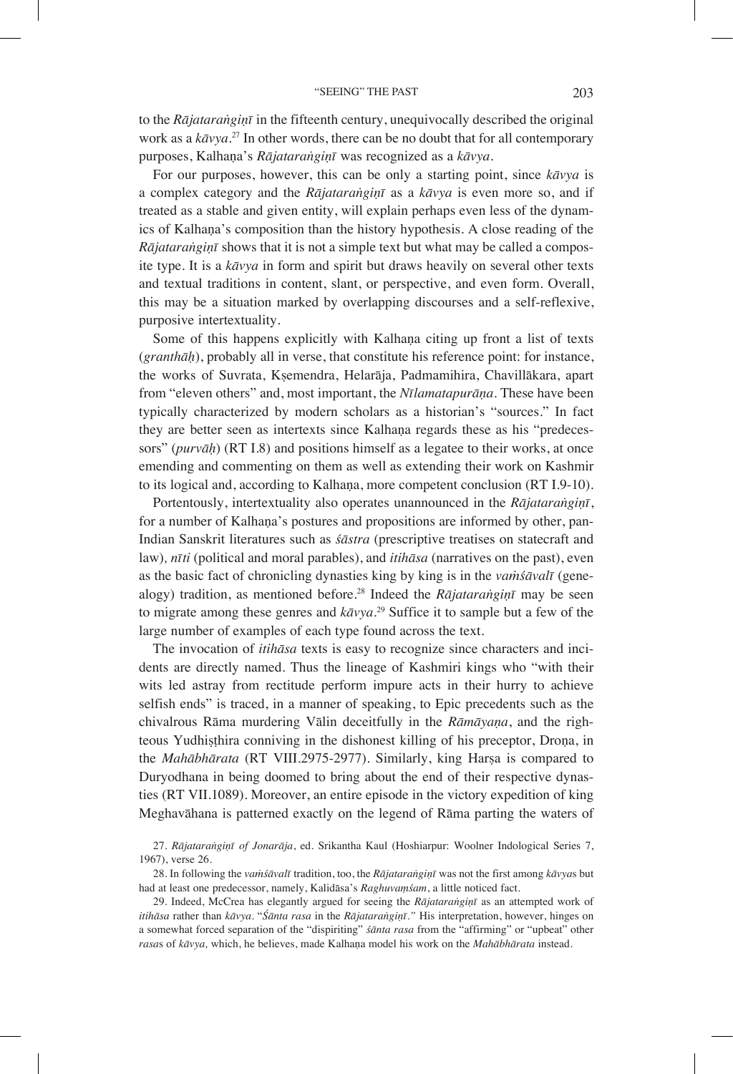to the *Rājataraṅgiṇī* in the fifteenth century, unequivocally described the original work as a *kāvya*. 27 In other words, there can be no doubt that for all contemporary purposes, Kalhaṇa's *Rājataraṅgiṇī* was recognized as a *kāvya*.

For our purposes, however, this can be only a starting point, since *kāvya* is a complex category and the *Rājataraṅgiṇī* as a *kāvya* is even more so, and if treated as a stable and given entity, will explain perhaps even less of the dynamics of Kalhaṇa's composition than the history hypothesis. A close reading of the *Rājataraṅgiṇī* shows that it is not a simple text but what may be called a composite type. It is a *kāvya* in form and spirit but draws heavily on several other texts and textual traditions in content, slant, or perspective, and even form. Overall, this may be a situation marked by overlapping discourses and a self-reflexive, purposive intertextuality.

Some of this happens explicitly with Kalhaṇa citing up front a list of texts (*granthāḥ*), probably all in verse, that constitute his reference point: for instance, the works of Suvrata, Kṣemendra, Helarāja, Padmamihira, Chavillākara, apart from "eleven others" and, most important, the *Nīlamatapurāṇa*. These have been typically characterized by modern scholars as a historian's "sources." In fact they are better seen as intertexts since Kalhaṇa regards these as his "predecessors" (*purvāḥ*) (RT I.8) and positions himself as a legatee to their works, at once emending and commenting on them as well as extending their work on Kashmir to its logical and, according to Kalhaṇa, more competent conclusion (RT I.9-10).

Portentously, intertextuality also operates unannounced in the *Rājataraṅgiṇī*, for a number of Kalhaṇa's postures and propositions are informed by other, pan-Indian Sanskrit literatures such as *śāstra* (prescriptive treatises on statecraft and law)*, nīti* (political and moral parables), and *itihāsa* (narratives on the past), even as the basic fact of chronicling dynasties king by king is in the *vaṁśāvalī* (genealogy) tradition, as mentioned before.28 Indeed the *Rājataraṅgiṇī* may be seen to migrate among these genres and *kāvya*. 29 Suffice it to sample but a few of the large number of examples of each type found across the text.

The invocation of *itihāsa* texts is easy to recognize since characters and incidents are directly named. Thus the lineage of Kashmiri kings who "with their wits led astray from rectitude perform impure acts in their hurry to achieve selfish ends" is traced, in a manner of speaking, to Epic precedents such as the chivalrous Rāma murdering Vālin deceitfully in the *Rāmāyaṇa*, and the righteous Yudhiṣṭhira conniving in the dishonest killing of his preceptor, Droṇa, in the *Mahābhārata* (RT VIII.2975-2977). Similarly, king Harṣa is compared to Duryodhana in being doomed to bring about the end of their respective dynasties (RT VII.1089). Moreover, an entire episode in the victory expedition of king Meghavāhana is patterned exactly on the legend of Rāma parting the waters of

28. In following the *vaṁśāvalī* tradition, too, the *Rājataraṅgiṇī* was not the first among *kāvya*s but had at least one predecessor, namely, Kalidāsa's *Raghuvaṃśam*, a little noticed fact.

<sup>27.</sup> *Rājataraṅgiṇī of Jonarāja*, ed. Srikantha Kaul (Hoshiarpur: Woolner Indological Series 7, 1967), verse 26.

<sup>29.</sup> Indeed, McCrea has elegantly argued for seeing the *Rājataraṅgiṇī* as an attempted work of *itihāsa* rather than *kāvya*. "*Śānta rasa* in the *Rājataraṅgiṇī."* His interpretation, however, hinges on a somewhat forced separation of the "dispiriting" *śānta rasa* from the "affirming" or "upbeat" other *rasa*s of *kāvya,* which, he believes, made Kalhaṇa model his work on the *Mahābhārata* instead.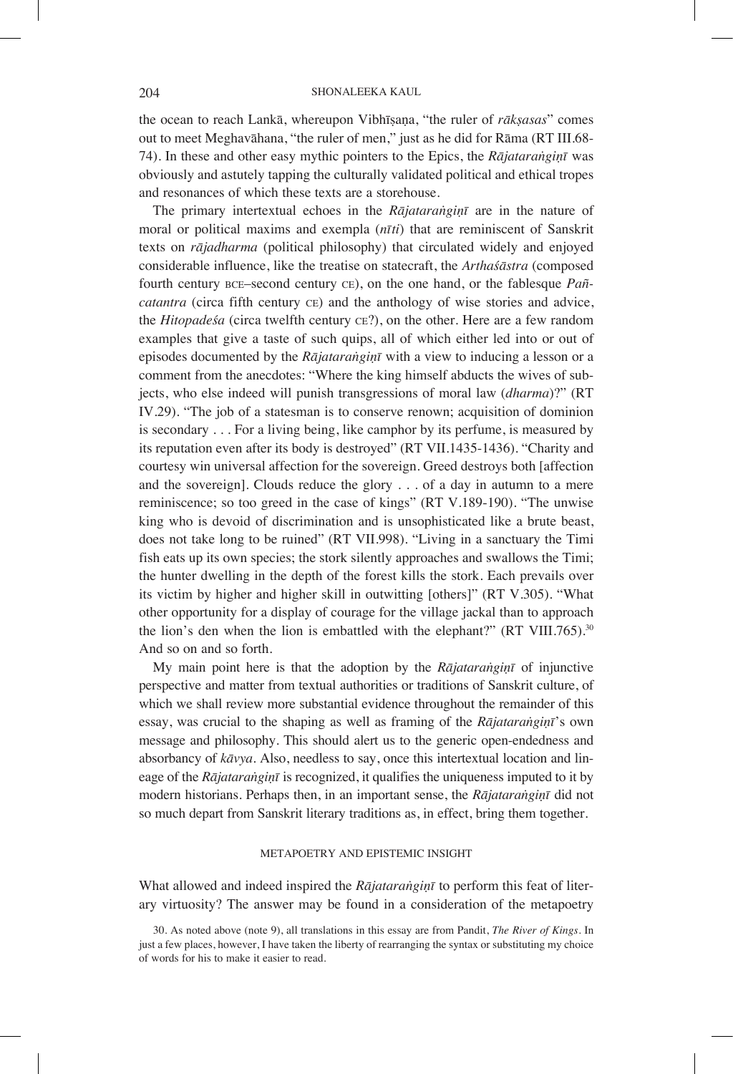the ocean to reach Lankā, whereupon Vibhīṣaṇa, "the ruler of *rākṣasas*" comes out to meet Meghavāhana, "the ruler of men," just as he did for Rāma (RT III.68- 74). In these and other easy mythic pointers to the Epics, the *Rājataraṅgiṇī* was obviously and astutely tapping the culturally validated political and ethical tropes and resonances of which these texts are a storehouse.

The primary intertextual echoes in the *Rājataraṅgiṇī* are in the nature of moral or political maxims and exempla (*nīti*) that are reminiscent of Sanskrit texts on *rājadharma* (political philosophy) that circulated widely and enjoyed considerable influence, like the treatise on statecraft, the *Arthaśāstra* (composed fourth century bce–second century ce), on the one hand, or the fablesque *Pañcatantra* (circa fifth century ce) and the anthology of wise stories and advice, the *Hitopadeśa* (circa twelfth century ce?), on the other. Here are a few random examples that give a taste of such quips, all of which either led into or out of episodes documented by the *Rājataraṅgiṇī* with a view to inducing a lesson or a comment from the anecdotes: "Where the king himself abducts the wives of subjects, who else indeed will punish transgressions of moral law (*dharma*)?" (RT IV.29). "The job of a statesman is to conserve renown; acquisition of dominion is secondary . . . For a living being, like camphor by its perfume, is measured by its reputation even after its body is destroyed" (RT VII.1435-1436). "Charity and courtesy win universal affection for the sovereign. Greed destroys both [affection and the sovereign]. Clouds reduce the glory . . . of a day in autumn to a mere reminiscence; so too greed in the case of kings" (RT V.189-190). "The unwise king who is devoid of discrimination and is unsophisticated like a brute beast, does not take long to be ruined" (RT VII.998). "Living in a sanctuary the Timi fish eats up its own species; the stork silently approaches and swallows the Timi; the hunter dwelling in the depth of the forest kills the stork. Each prevails over its victim by higher and higher skill in outwitting [others]" (RT V.305). "What other opportunity for a display of courage for the village jackal than to approach the lion's den when the lion is embattled with the elephant?"  $(RT VIII.765)$ .<sup>30</sup> And so on and so forth.

My main point here is that the adoption by the *Rājataraṅgiṇī* of injunctive perspective and matter from textual authorities or traditions of Sanskrit culture, of which we shall review more substantial evidence throughout the remainder of this essay, was crucial to the shaping as well as framing of the *Rājataraṅgiṇī*'s own message and philosophy. This should alert us to the generic open-endedness and absorbancy of *kāvya*. Also, needless to say, once this intertextual location and lineage of the *Rājataraṅgiṇī* is recognized, it qualifies the uniqueness imputed to it by modern historians. Perhaps then, in an important sense, the *Rājataraṅgiṇī* did not so much depart from Sanskrit literary traditions as, in effect, bring them together.

### METAPOETRY AND EPISTEMIC INSIGHT

What allowed and indeed inspired the *Rājataraṅgiṇī* to perform this feat of literary virtuosity? The answer may be found in a consideration of the metapoetry

<sup>30.</sup> As noted above (note 9), all translations in this essay are from Pandit, *The River of Kings*. In just a few places, however, I have taken the liberty of rearranging the syntax or substituting my choice of words for his to make it easier to read.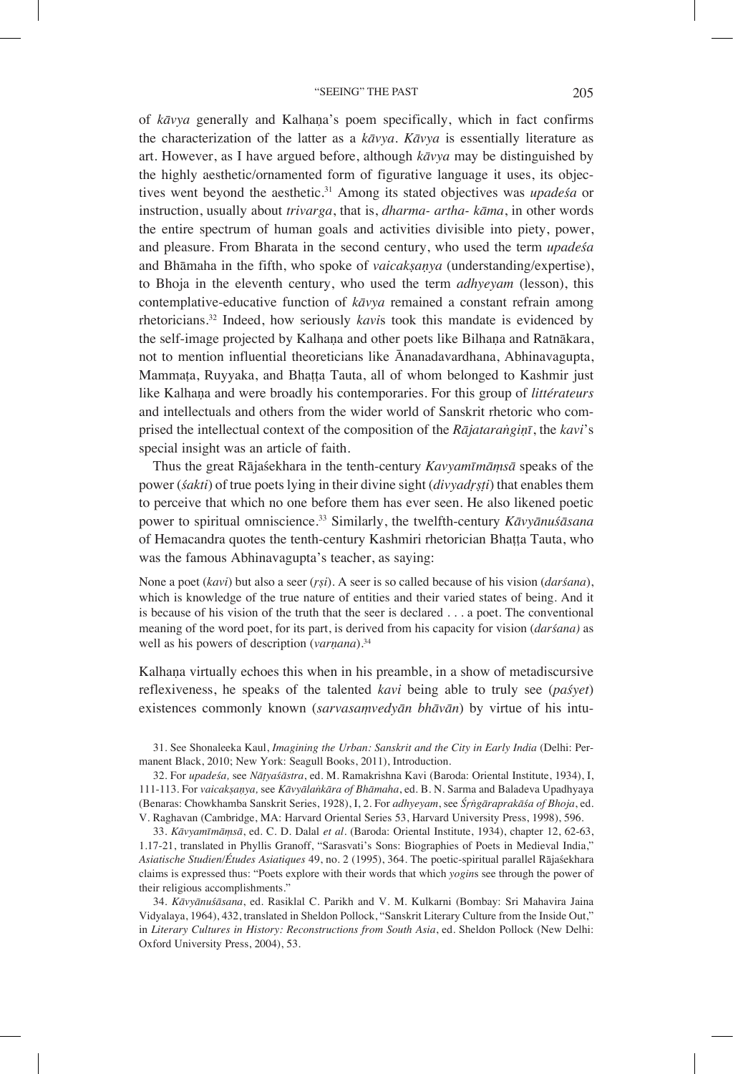of *kāvya* generally and Kalhaṇa's poem specifically, which in fact confirms the characterization of the latter as a *kāvya*. *Kāvya* is essentially literature as art. However, as I have argued before, although *kāvya* may be distinguished by the highly aesthetic/ornamented form of figurative language it uses, its objectives went beyond the aesthetic.31 Among its stated objectives was *upadeśa* or instruction, usually about *trivarga*, that is, *dharma- artha- kāma*, in other words the entire spectrum of human goals and activities divisible into piety, power, and pleasure. From Bharata in the second century, who used the term *upadeśa*  and Bhāmaha in the fifth, who spoke of *vaicakṣaṇya* (understanding/expertise), to Bhoja in the eleventh century, who used the term *adhyeyam* (lesson), this contemplative-educative function of *kāvya* remained a constant refrain among rhetoricians.32 Indeed, how seriously *kavi*s took this mandate is evidenced by the self-image projected by Kalhaṇa and other poets like Bilhaṇa and Ratnākara, not to mention influential theoreticians like Ānanadavardhana, Abhinavagupta, Mammaṭa, Ruyyaka, and Bhaṭṭa Tauta, all of whom belonged to Kashmir just like Kalhaṇa and were broadly his contemporaries. For this group of *littérateurs* and intellectuals and others from the wider world of Sanskrit rhetoric who comprised the intellectual context of the composition of the *Rājataraṅgiṇī*, the *kavi*'s special insight was an article of faith.

Thus the great Rājaśekhara in the tenth-century *Kavyamīmāṃsā* speaks of the power (*śakti*) of true poets lying in their divine sight (*divyadṛṣṭi*) that enables them to perceive that which no one before them has ever seen. He also likened poetic power to spiritual omniscience.33 Similarly, the twelfth-century *Kāvyānuśāsana*  of Hemacandra quotes the tenth-century Kashmiri rhetorician Bhaṭṭa Tauta, who was the famous Abhinavagupta's teacher, as saying:

None a poet (*kavi*) but also a seer (*ṛṣi*). A seer is so called because of his vision (*darśana*), which is knowledge of the true nature of entities and their varied states of being. And it is because of his vision of the truth that the seer is declared . . . a poet. The conventional meaning of the word poet, for its part, is derived from his capacity for vision (*darśana)* as well as his powers of description (*varnana*).<sup>34</sup>

Kalhaṇa virtually echoes this when in his preamble, in a show of metadiscursive reflexiveness, he speaks of the talented *kavi* being able to truly see (*paśyet*) existences commonly known (*sarvasaṃvedyān bhāvān*) by virtue of his intu-

31. See Shonaleeka Kaul, *Imagining the Urban: Sanskrit and the City in Early India* (Delhi: Permanent Black, 2010; New York: Seagull Books, 2011), Introduction.

32. For *upadeśa,* see *Nāṭyaśāstra*, ed. M. Ramakrishna Kavi (Baroda: Oriental Institute, 1934), I, 111-113. For *vaicakṣaṇya,* see *Kāvyālaṅkāra of Bhāmaha*, ed. B. N. Sarma and Baladeva Upadhyaya (Benaras: Chowkhamba Sanskrit Series, 1928), I, 2. For *adhyeyam*, see *Śṛṅgāraprakāśa of Bhoja*, ed. V. Raghavan (Cambridge, MA: Harvard Oriental Series 53, Harvard University Press, 1998), 596.

33. *Kāvyamīmāṃsā*, ed. C. D. Dalal *et al*. (Baroda: Oriental Institute, 1934), chapter 12, 62-63, 1.17-21, translated in Phyllis Granoff, "Sarasvati's Sons: Biographies of Poets in Medieval India," *Asiatische Studien/Études Asiatiques* 49, no. 2 (1995), 364. The poetic-spiritual parallel Rājaśekhara claims is expressed thus: "Poets explore with their words that which *yogin*s see through the power of their religious accomplishments."

34. *Kāvyānuśāsana*, ed. Rasiklal C. Parikh and V. M. Kulkarni (Bombay: Sri Mahavira Jaina Vidyalaya, 1964), 432, translated in Sheldon Pollock, "Sanskrit Literary Culture from the Inside Out," in *Literary Cultures in History: Reconstructions from South Asia*, ed. Sheldon Pollock (New Delhi: Oxford University Press, 2004), 53.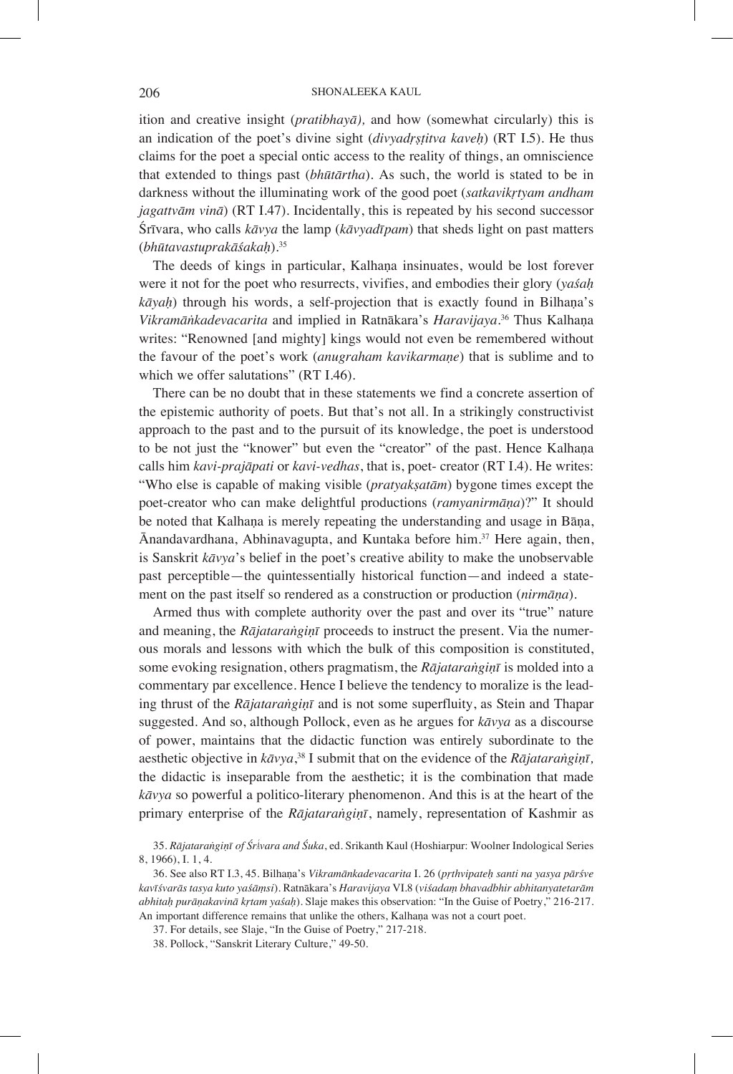ition and creative insight (*pratibhayā),* and how (somewhat circularly) this is an indication of the poet's divine sight (*divyadṛṣṭitva kaveḥ*) (RT I.5). He thus claims for the poet a special ontic access to the reality of things, an omniscience that extended to things past (*bhūtārtha*). As such, the world is stated to be in darkness without the illuminating work of the good poet (*satkavikṛtyam andham jagattvām vinā*) (RT I.47). Incidentally, this is repeated by his second successor Śrīvara, who calls *kāvya* the lamp (*kāvyadīpam*) that sheds light on past matters (*bhūtavastuprakāśakaḥ*).35

The deeds of kings in particular, Kalhaṇa insinuates, would be lost forever were it not for the poet who resurrects, vivifies, and embodies their glory (*yaśaḥ kāyaḥ*) through his words, a self-projection that is exactly found in Bilhaṇa's *Vikramāṅkadevacarita* and implied in Ratnākara's *Haravijaya*. <sup>36</sup> Thus Kalhaṇa writes: "Renowned [and mighty] kings would not even be remembered without the favour of the poet's work (*anugraham kavikarmaṇe*) that is sublime and to which we offer salutations" (RT I.46).

There can be no doubt that in these statements we find a concrete assertion of the epistemic authority of poets. But that's not all. In a strikingly constructivist approach to the past and to the pursuit of its knowledge, the poet is understood to be not just the "knower" but even the "creator" of the past. Hence Kalhaṇa calls him *kavi-prajāpati* or *kavi-vedhas*, that is, poet- creator (RT I.4). He writes: "Who else is capable of making visible (*pratyakṣatām*) bygone times except the poet-creator who can make delightful productions (*ramyanirmāṇa*)?" It should be noted that Kalhaṇa is merely repeating the understanding and usage in Bāṇa, Ānandavardhana, Abhinavagupta, and Kuntaka before him.37 Here again, then, is Sanskrit *kāvya*'s belief in the poet's creative ability to make the unobservable past perceptible—the quintessentially historical function—and indeed a statement on the past itself so rendered as a construction or production (*nirmāṇa*).

Armed thus with complete authority over the past and over its "true" nature and meaning, the *Rājataraṅgiṇī* proceeds to instruct the present. Via the numerous morals and lessons with which the bulk of this composition is constituted, some evoking resignation, others pragmatism, the *Rājataraṅgiṇī* is molded into a commentary par excellence. Hence I believe the tendency to moralize is the leading thrust of the *Rājataraṅgiṇī* and is not some superfluity, as Stein and Thapar suggested. And so, although Pollock, even as he argues for *kāvya* as a discourse of power, maintains that the didactic function was entirely subordinate to the aesthetic objective in *kāvya*, 38 I submit that on the evidence of the *Rājataraṅgiṇī,*  the didactic is inseparable from the aesthetic; it is the combination that made *kāvya* so powerful a politico-literary phenomenon. And this is at the heart of the primary enterprise of the *Rājataraṅgiṇī*, namely, representation of Kashmir as

<sup>35.</sup> *Rājataraṅgiṇī of ŚrÁvara and Śuka*, ed. Srikanth Kaul (Hoshiarpur: Woolner Indological Series 8, 1966), I. 1, 4.

<sup>36.</sup> See also RT I.3, 45. Bilhaṇa's *Vikramānkadevacarita* I. 26 (*pṛthvipateḥ santi na yasya pārśve kavīśvarās tasya kuto yaśāṃsi*). Ratnākara's *Haravijaya* VI.8 (*viśadaṃ bhavadbhir abhitanyatetarām abhitaḥ purāṇakavinā kṛtam yaśaḥ*). Slaje makes this observation: "In the Guise of Poetry," 216-217. An important difference remains that unlike the others, Kalhaṇa was not a court poet.

<sup>37.</sup> For details, see Slaje, "In the Guise of Poetry," 217-218.

<sup>38.</sup> Pollock, "Sanskrit Literary Culture," 49-50.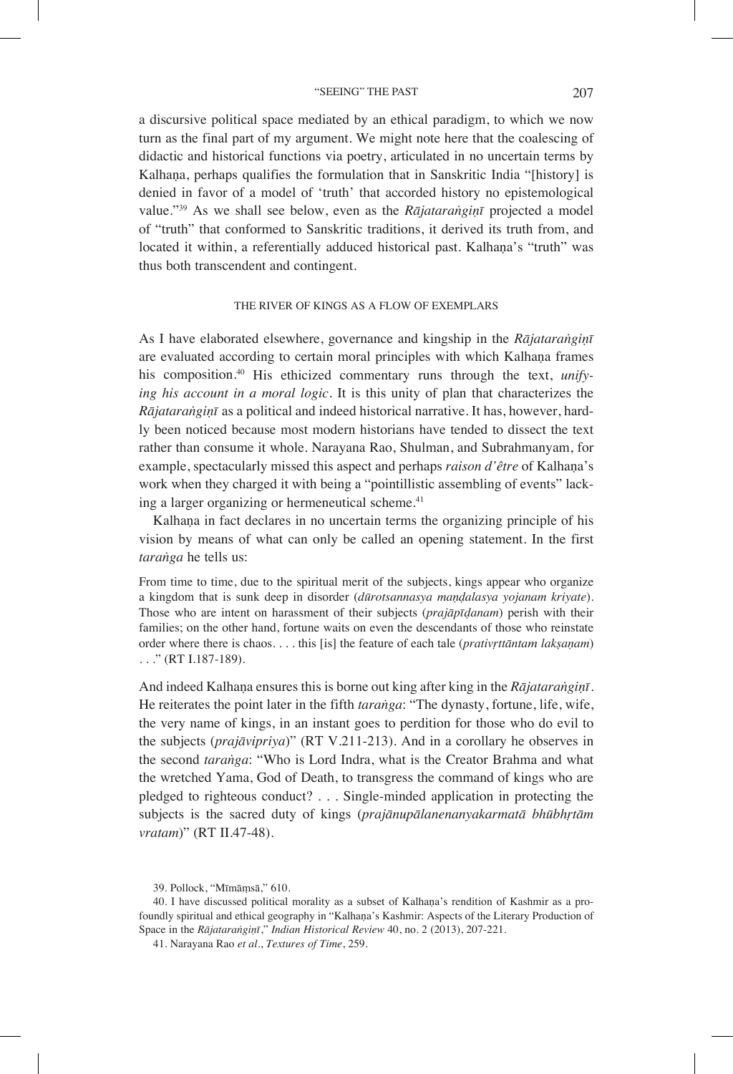a discursive political space mediated by an ethical paradigm, to which we now turn as the final part of my argument. We might note here that the coalescing of didactic and historical functions via poetry, articulated in no uncertain terms by Kalhana, perhaps qualifies the formulation that in Sanskritic India "[history] is denied in favor of a model of 'truth' that accorded history no epistemological value."39 As we shall see below, even as the *Rājataraṅgiṇī* projected a model of "truth" that conformed to Sanskritic traditions, it derived its truth from, and located it within, a referentially adduced historical past. Kalhaṇa's "truth" was thus both transcendent and contingent.

### THE RIVER OF KINGS AS A FLOW OF EXEMPLARS

As I have elaborated elsewhere, governance and kingship in the *Rājataraṅgiṇī* are evaluated according to certain moral principles with which Kalhaṇa frames his composition.40 His ethicized commentary runs through the text, *unifying his account in a moral logic.* It is this unity of plan that characterizes the *Rājataraṅgiṇī* as a political and indeed historical narrative. It has, however, hardly been noticed because most modern historians have tended to dissect the text rather than consume it whole. Narayana Rao, Shulman, and Subrahmanyam, for example, spectacularly missed this aspect and perhaps *raison d'être* of Kalhaṇa's work when they charged it with being a "pointillistic assembling of events" lacking a larger organizing or hermeneutical scheme.<sup>41</sup>

Kalhaṇa in fact declares in no uncertain terms the organizing principle of his vision by means of what can only be called an opening statement. In the first *taraṅga* he tells us:

From time to time, due to the spiritual merit of the subjects, kings appear who organize a kingdom that is sunk deep in disorder (*dūrotsannasya maṇḍalasya yojanam kriyate*). Those who are intent on harassment of their subjects (*prajāpīḍanam*) perish with their families; on the other hand, fortune waits on even the descendants of those who reinstate order where there is chaos. . . . this [is] the feature of each tale (*prativṛttāntam lakṣaṇam*) . . ." (RT I.187-189).

And indeed Kalhaṇa ensures this is borne out king after king in the *Rājataraṅgiṇī*. He reiterates the point later in the fifth *taraṅga*: "The dynasty, fortune, life, wife, the very name of kings, in an instant goes to perdition for those who do evil to the subjects (*prajāvipriya*)" (RT V.211-213). And in a corollary he observes in the second *taraṅga*: "Who is Lord Indra, what is the Creator Brahma and what the wretched Yama, God of Death, to transgress the command of kings who are pledged to righteous conduct? . . . Single-minded application in protecting the subjects is the sacred duty of kings (*prajānupālanenanyakarmatā bhūbhṛtām vratam*)" (RT II.47-48).

<sup>39.</sup> Pollock, "Mīmāṃsā," 610.

<sup>40.</sup> I have discussed political morality as a subset of Kalhaṇa's rendition of Kashmir as a profoundly spiritual and ethical geography in "Kalhaṇa's Kashmir: Aspects of the Literary Production of Space in the *Rājataraṅgiṇī*," *Indian Historical Review* 40, no. 2 (2013), 207-221.

<sup>41.</sup> Narayana Rao *et al*., *Textures of Time*, 259.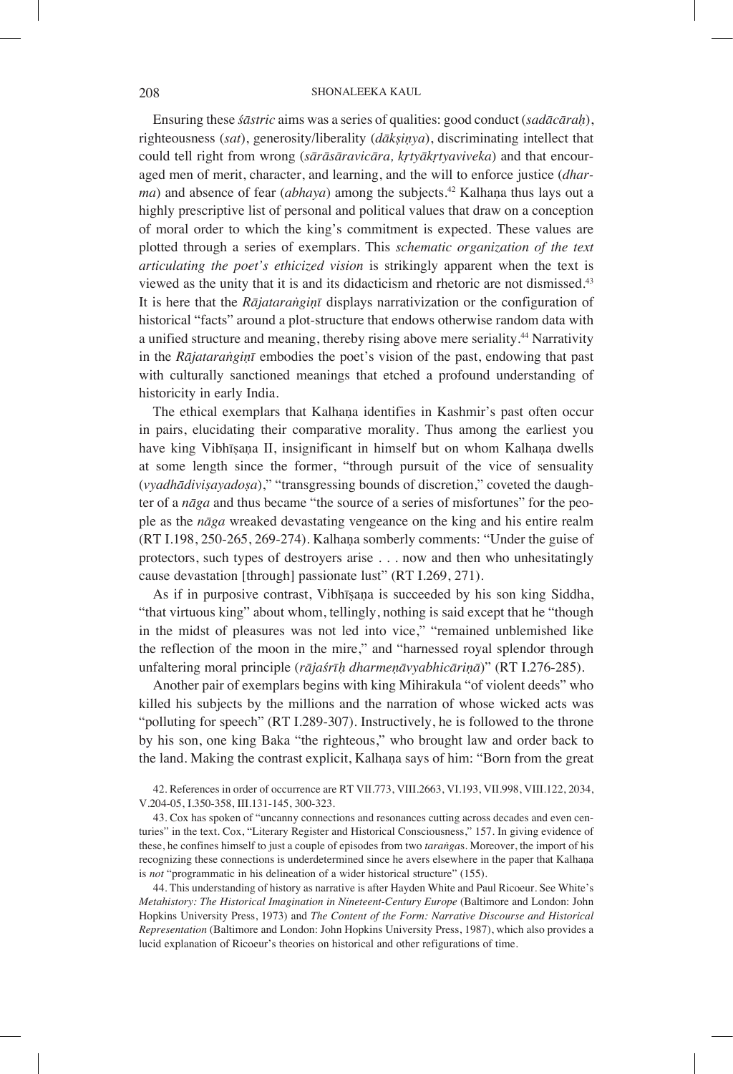Ensuring these *śāstric* aims was a series of qualities: good conduct (*sadācāraḥ*), righteousness (*sat*), generosity/liberality (*dākṣiṇya*), discriminating intellect that could tell right from wrong (*sārāsāravicāra, kṛtyākṛtyaviveka*) and that encouraged men of merit, character, and learning, and the will to enforce justice (*dharma*) and absence of fear (*abhaya*) among the subjects.<sup>42</sup> Kalhaṇa thus lays out a highly prescriptive list of personal and political values that draw on a conception of moral order to which the king's commitment is expected. These values are plotted through a series of exemplars. This *schematic organization of the text articulating the poet's ethicized vision* is strikingly apparent when the text is viewed as the unity that it is and its didacticism and rhetoric are not dismissed.<sup>43</sup> It is here that the *Rājataraṅgiṇī* displays narrativization or the configuration of historical "facts" around a plot-structure that endows otherwise random data with a unified structure and meaning, thereby rising above mere seriality.<sup>44</sup> Narrativity in the *Rājataraṅgiṇī* embodies the poet's vision of the past, endowing that past with culturally sanctioned meanings that etched a profound understanding of historicity in early India.

The ethical exemplars that Kalhaṇa identifies in Kashmir's past often occur in pairs, elucidating their comparative morality. Thus among the earliest you have king Vibhīsana II, insignificant in himself but on whom Kalhana dwells at some length since the former, "through pursuit of the vice of sensuality (*vyadhādiviṣayadoṣa*)," "transgressing bounds of discretion," coveted the daughter of a *nāga* and thus became "the source of a series of misfortunes" for the people as the *nāga* wreaked devastating vengeance on the king and his entire realm (RT I.198, 250-265, 269-274). Kalhaṇa somberly comments: "Under the guise of protectors, such types of destroyers arise . . . now and then who unhesitatingly cause devastation [through] passionate lust" (RT I.269, 271).

As if in purposive contrast, Vibhīṣaṇa is succeeded by his son king Siddha, "that virtuous king" about whom, tellingly, nothing is said except that he "though in the midst of pleasures was not led into vice," "remained unblemished like the reflection of the moon in the mire," and "harnessed royal splendor through unfaltering moral principle (*rājaśrīḥ dharmeṇāvyabhicāriṇā*)" (RT I.276-285).

Another pair of exemplars begins with king Mihirakula "of violent deeds" who killed his subjects by the millions and the narration of whose wicked acts was "polluting for speech" (RT I.289-307). Instructively, he is followed to the throne by his son, one king Baka "the righteous," who brought law and order back to the land. Making the contrast explicit, Kalhaṇa says of him: "Born from the great

42. References in order of occurrence are RT VII.773, VIII.2663, VI.193, VII.998, VIII.122, 2034, V.204-05, I.350-358, III.131-145, 300-323.

43. Cox has spoken of "uncanny connections and resonances cutting across decades and even centuries" in the text. Cox, "Literary Register and Historical Consciousness," 157. In giving evidence of these, he confines himself to just a couple of episodes from two *taraṅga*s. Moreover, the import of his recognizing these connections is underdetermined since he avers elsewhere in the paper that Kalhana is *not* "programmatic in his delineation of a wider historical structure" (155).

44. This understanding of history as narrative is after Hayden White and Paul Ricoeur. See White's *Metahistory: The Historical Imagination in Nineteent-Century Europe* (Baltimore and London: John Hopkins University Press, 1973) and *The Content of the Form: Narrative Discourse and Historical Representation* (Baltimore and London: John Hopkins University Press, 1987), which also provides a lucid explanation of Ricoeur's theories on historical and other refigurations of time.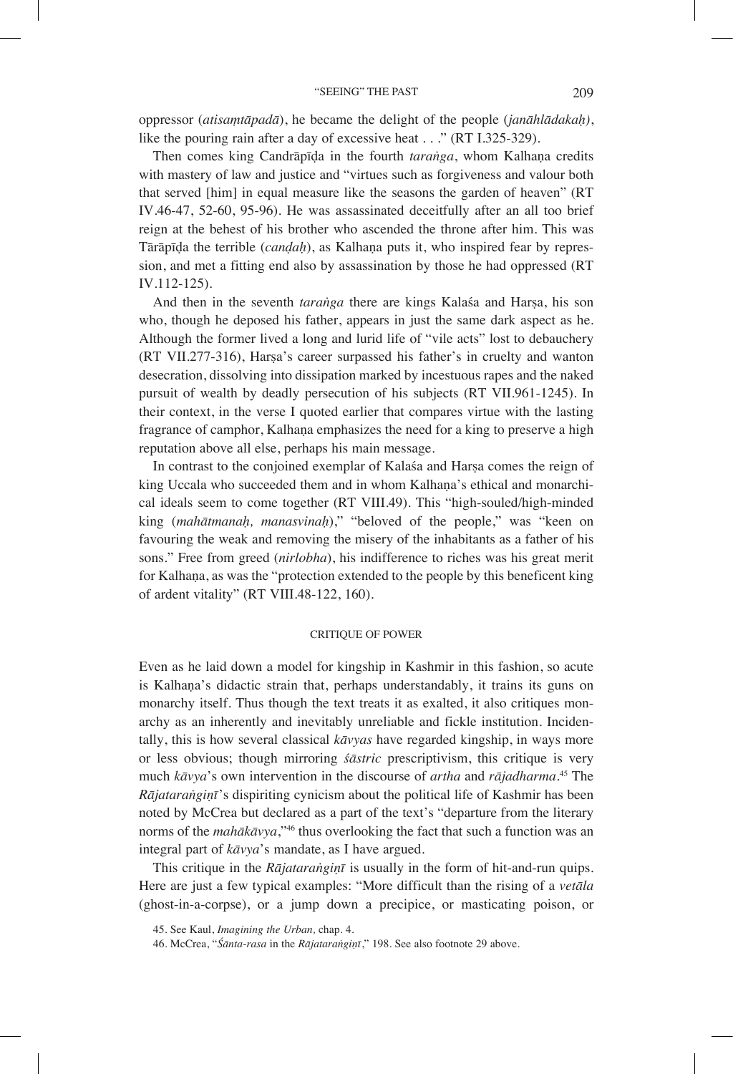oppressor (*atisaṃtāpadā*), he became the delight of the people (*janāhlādakaḥ)*, like the pouring rain after a day of excessive heat . . ." (RT I.325-329).

Then comes king Candrāpīḍa in the fourth *taraṅga*, whom Kalhaṇa credits with mastery of law and justice and "virtues such as forgiveness and valour both that served [him] in equal measure like the seasons the garden of heaven" (RT IV.46-47, 52-60, 95-96). He was assassinated deceitfully after an all too brief reign at the behest of his brother who ascended the throne after him. This was Tārāpīḍa the terrible (*canḍaḥ*), as Kalhaṇa puts it, who inspired fear by repression, and met a fitting end also by assassination by those he had oppressed (RT IV.112-125).

And then in the seventh *taranga* there are kings Kalasa and Harsa, his son who, though he deposed his father, appears in just the same dark aspect as he. Although the former lived a long and lurid life of "vile acts" lost to debauchery (RT VII.277-316), Harṣa's career surpassed his father's in cruelty and wanton desecration, dissolving into dissipation marked by incestuous rapes and the naked pursuit of wealth by deadly persecution of his subjects (RT VII.961-1245). In their context, in the verse I quoted earlier that compares virtue with the lasting fragrance of camphor, Kalhaṇa emphasizes the need for a king to preserve a high reputation above all else, perhaps his main message.

In contrast to the conjoined exemplar of Kalaśa and Harṣa comes the reign of king Uccala who succeeded them and in whom Kalhaṇa's ethical and monarchical ideals seem to come together (RT VIII.49). This "high-souled/high-minded king (*mahātmanaḥ, manasvinaḥ*)," "beloved of the people," was "keen on favouring the weak and removing the misery of the inhabitants as a father of his sons." Free from greed (*nirlobha*), his indifference to riches was his great merit for Kalhaṇa, as was the "protection extended to the people by this beneficent king of ardent vitality" (RT VIII.48-122, 160).

#### CRITIQUE OF POWER

Even as he laid down a model for kingship in Kashmir in this fashion, so acute is Kalhana's didactic strain that, perhaps understandably, it trains its guns on monarchy itself. Thus though the text treats it as exalted, it also critiques monarchy as an inherently and inevitably unreliable and fickle institution. Incidentally, this is how several classical *kāvyas* have regarded kingship, in ways more or less obvious; though mirroring *śāstric* prescriptivism, this critique is very much *kāvya*'s own intervention in the discourse of *artha* and *rājadharma*. 45 The *Rājataraṅgiṇī*'s dispiriting cynicism about the political life of Kashmir has been noted by McCrea but declared as a part of the text's "departure from the literary norms of the *mahākāvya*,"46 thus overlooking the fact that such a function was an integral part of *kāvya*'s mandate, as I have argued.

This critique in the *Rājataraṅgiṇī* is usually in the form of hit-and-run quips. Here are just a few typical examples: "More difficult than the rising of a *vetāla*  (ghost-in-a-corpse), or a jump down a precipice, or masticating poison, or

<sup>45.</sup> See Kaul, *Imagining the Urban,* chap. 4.

<sup>46.</sup> McCrea, "*Śānta-rasa* in the *Rājataraṅgiṇī*," 198. See also footnote 29 above.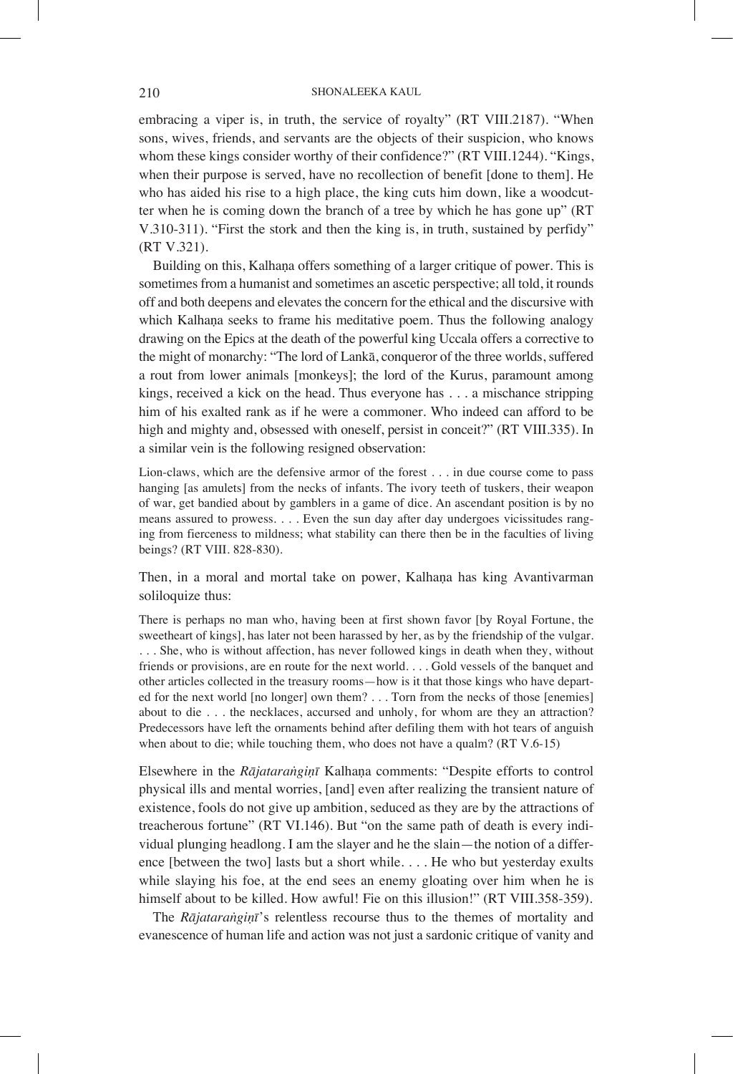embracing a viper is, in truth, the service of royalty" (RT VIII.2187). "When sons, wives, friends, and servants are the objects of their suspicion, who knows whom these kings consider worthy of their confidence?" (RT VIII.1244). "Kings, when their purpose is served, have no recollection of benefit [done to them]. He who has aided his rise to a high place, the king cuts him down, like a woodcutter when he is coming down the branch of a tree by which he has gone up" (RT V.310-311). "First the stork and then the king is, in truth, sustained by perfidy" (RT V.321).

Building on this, Kalhaṇa offers something of a larger critique of power. This is sometimes from a humanist and sometimes an ascetic perspective; all told, it rounds off and both deepens and elevates the concern for the ethical and the discursive with which Kalhaṇa seeks to frame his meditative poem. Thus the following analogy drawing on the Epics at the death of the powerful king Uccala offers a corrective to the might of monarchy: "The lord of Lankā, conqueror of the three worlds, suffered a rout from lower animals [monkeys]; the lord of the Kurus, paramount among kings, received a kick on the head. Thus everyone has . . . a mischance stripping him of his exalted rank as if he were a commoner. Who indeed can afford to be high and mighty and, obsessed with oneself, persist in conceit?" (RT VIII.335). In a similar vein is the following resigned observation:

Lion-claws, which are the defensive armor of the forest . . . in due course come to pass hanging [as amulets] from the necks of infants. The ivory teeth of tuskers, their weapon of war, get bandied about by gamblers in a game of dice. An ascendant position is by no means assured to prowess. . . . Even the sun day after day undergoes vicissitudes ranging from fierceness to mildness; what stability can there then be in the faculties of living beings? (RT VIII. 828-830).

Then, in a moral and mortal take on power, Kalhaṇa has king Avantivarman soliloquize thus:

There is perhaps no man who, having been at first shown favor [by Royal Fortune, the sweetheart of kings], has later not been harassed by her, as by the friendship of the vulgar. . . . She, who is without affection, has never followed kings in death when they, without friends or provisions, are en route for the next world. . . . Gold vessels of the banquet and other articles collected in the treasury rooms—how is it that those kings who have departed for the next world [no longer] own them? . . . Torn from the necks of those [enemies] about to die . . . the necklaces, accursed and unholy, for whom are they an attraction? Predecessors have left the ornaments behind after defiling them with hot tears of anguish when about to die; while touching them, who does not have a qualm? (RT V.6-15)

Elsewhere in the *Rājataraṅgiṇī* Kalhaṇa comments: "Despite efforts to control physical ills and mental worries, [and] even after realizing the transient nature of existence, fools do not give up ambition, seduced as they are by the attractions of treacherous fortune" (RT VI.146). But "on the same path of death is every individual plunging headlong. I am the slayer and he the slain—the notion of a difference [between the two] lasts but a short while. . . . He who but yesterday exults while slaying his foe, at the end sees an enemy gloating over him when he is himself about to be killed. How awful! Fie on this illusion!" (RT VIII.358-359).

The *Rājataraṅgiṇī*'s relentless recourse thus to the themes of mortality and evanescence of human life and action was not just a sardonic critique of vanity and